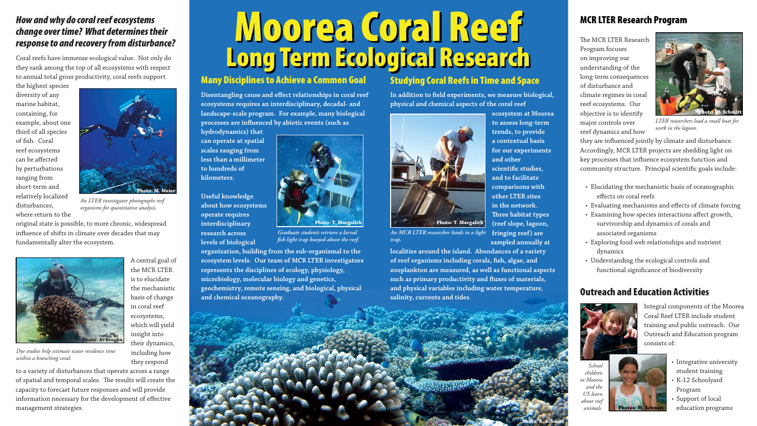## **Outreach and Education Activities**

Integral components of the Moorea Coral Reef LTER include student training and public outreach. Our Outreach and Education program consists of:

- Integrative university student training
- K-12 Schoolyard Program
- Support of local education programs

**Disentangling cause and effect relationships in coral reef ecosystems requires an interdisciplinary, decadal- and landscape-scale program. For example, many biological processes are infl uenced by abiotic events (such as** 

# **Moorea Coral Reef Long Term Ecological Research**

# **Many Disciplines to Achieve a Common Goal**

In addition to field experiments, we measure biological, **physical and chemical aspects of the coral reef** 

**hydrodynamics) that can operate at spatial scales ranging from less than a millimeter to hundreds of kilometers.** 

**Useful knowledge about how ecosystems operate requires interdisciplinary research across levels of biological** 

**organization, building from the sub-organismal to the ecosystem levels. Our team of MCR LTER investigators represents the disciplines of ecology, physiology, microbiology, molecular biology and genetics, geochemistry, remote sensing, and biological, physical and chemical oceanography.** 

#### **Studying Coral Reefs in Time and Space**



The MCR LTER Research Program focuses on improving our understanding of the long-term consequences of disturbance and climate regimes in coral reef ecosystems. Our objective is to identify major controls over reef dynamics and how

**localities around the island. Abundances of a variety**  of reef organisms including corals, fish, algae, and **zooplankton are measured, as well as functional aspects**  such as primary productivity and fluxes of materials, **and physical variables including water temperature, salinity, currents and tides.** 

- Elucidating the mechanistic basis of oceanographic effects on coral reefs
- Evaluating mechanisms and effects of climate forcing
- Examining how species interactions affect growth, survivorship and dynamics of corals and associated organisms
- Exploring food web relationships and nutrient dynamics
- Understanding the ecological controls and functional significance of biodiversity

#### *How and why do coral reef ecosystems change over time? What determines their response to and recovery from disturbance?*



*Graduate students retrieve a larval*  fish light trap buoyed above the reef.

Coral reefs have immense ecological value. Not only do they rank among the top of all ecosystems with respect to annual total gross productivity, coral reefs support

the highest species diversity of any marine habitat, containing, for example, about one third of all species of fish. Coral reef ecosystems can be affected by perturbations ranging from short-term and relatively localized disturbances, where return to the

original state is possible, to more chronic, widespread influence of shifts in climate over decades that may fundamentally alter the ecosystem.

> A central goal of the MCR LTER is to elucidate the mechanistic basis of change

in coral reef ecosystems, which will yield insight into their dynamics, including how they respond

to a variety of disturbances that operate across a range of spatial and temporal scales. The results will create the capacity to forecast future responses and will provide information necessary for the development of effective management strategies.

# **MCR LTER Research Program**



*An MCR LTER researcher hauls in a light trap.*



*An LTER investigator photographs reef organisms for quantitative analysis.* 



*School children in Moorea and the US learn about reef animals.* 



*Dye studies help estimate water residence time within a branching coral.* 

**Photo: R. Schmitt**





*LTER researchers load a small boat for work in the lagoon.* 

they are influenced jointly by climate and disturbance. Accordingly, MCR LTER projects are shedding light on key processes that influence ecosystem function and community structure. Principal scientific goals include: